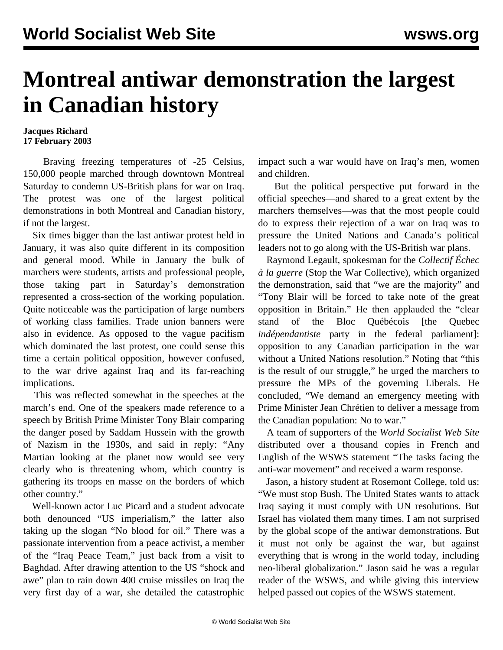## **Montreal antiwar demonstration the largest in Canadian history**

## **Jacques Richard 17 February 2003**

 Braving freezing temperatures of -25 Celsius, 150,000 people marched through downtown Montreal Saturday to condemn US-British plans for war on Iraq. The protest was one of the largest political demonstrations in both Montreal and Canadian history, if not the largest.

 Six times bigger than the last antiwar protest held in January, it was also quite different in its composition and general mood. While in January the bulk of marchers were students, artists and professional people, those taking part in Saturday's demonstration represented a cross-section of the working population. Quite noticeable was the participation of large numbers of working class families. Trade union banners were also in evidence. As opposed to the vague pacifism which dominated the last protest, one could sense this time a certain political opposition, however confused, to the war drive against Iraq and its far-reaching implications.

 This was reflected somewhat in the speeches at the march's end. One of the speakers made reference to a speech by British Prime Minister Tony Blair comparing the danger posed by Saddam Hussein with the growth of Nazism in the 1930s, and said in reply: "Any Martian looking at the planet now would see very clearly who is threatening whom, which country is gathering its troops en masse on the borders of which other country."

 Well-known actor Luc Picard and a student advocate both denounced "US imperialism," the latter also taking up the slogan "No blood for oil." There was a passionate intervention from a peace activist, a member of the "Iraq Peace Team," just back from a visit to Baghdad. After drawing attention to the US "shock and awe" plan to rain down 400 cruise missiles on Iraq the very first day of a war, she detailed the catastrophic

impact such a war would have on Iraq's men, women and children.

 But the political perspective put forward in the official speeches—and shared to a great extent by the marchers themselves—was that the most people could do to express their rejection of a war on Iraq was to pressure the United Nations and Canada's political leaders not to go along with the US-British war plans.

 Raymond Legault, spokesman for the *Collectif Échec à la guerre* (Stop the War Collective)*,* which organized the demonstration, said that "we are the majority" and "Tony Blair will be forced to take note of the great opposition in Britain." He then applauded the "clear stand of the Bloc Québécois [the Quebec *indépendantiste* party in the federal parliament]: opposition to any Canadian participation in the war without a United Nations resolution." Noting that "this is the result of our struggle," he urged the marchers to pressure the MPs of the governing Liberals. He concluded, "We demand an emergency meeting with Prime Minister Jean Chrétien to deliver a message from the Canadian population: No to war."

 A team of supporters of the *World Socialist Web Site* distributed over a thousand copies in French and English of the WSWS statement "The tasks facing the anti-war movement" and received a warm response.

 Jason, a history student at Rosemont College, told us: "We must stop Bush. The United States wants to attack Iraq saying it must comply with UN resolutions. But Israel has violated them many times. I am not surprised by the global scope of the antiwar demonstrations. But it must not only be against the war, but against everything that is wrong in the world today, including neo-liberal globalization." Jason said he was a regular reader of the WSWS, and while giving this interview helped passed out copies of the WSWS statement.